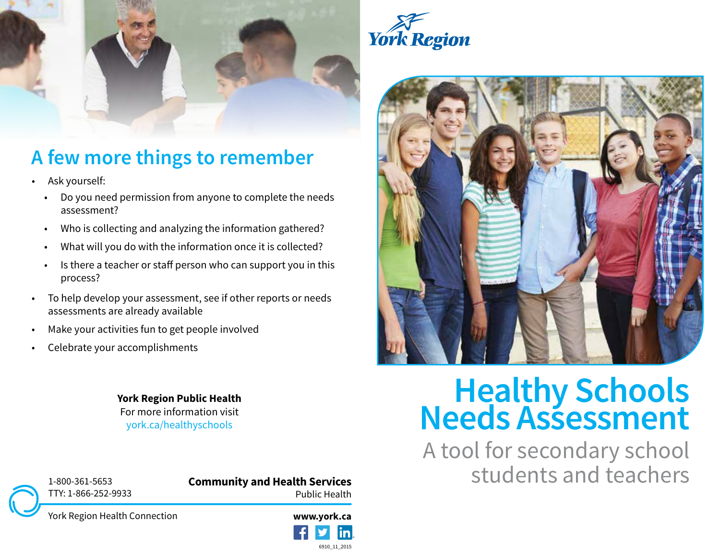



### **A few more things to remember**

- Ask yourself:
	- Do you need permission from anyone to complete the needs assessment?
	- Who is collecting and analyzing the information gathered?
	- What will you do with the information once it is collected?
	- Is there a teacher or staff person who can support you in this process?
- To help develop your assessment, see if other reports or needs assessments are already available
- Make your activities fun to get people involved
- Celebrate your accomplishments

For more information visit york.ca/healthyschools



# **York Region Public Health**<br>For more information visit<br>york.ca/healthyschools<br>**Needs Assessment**

A tool for secondary school students and teachers



**Community and Health Services** Public Health



York Region Health Connection

**www.york.ca** 6910\_11\_2015